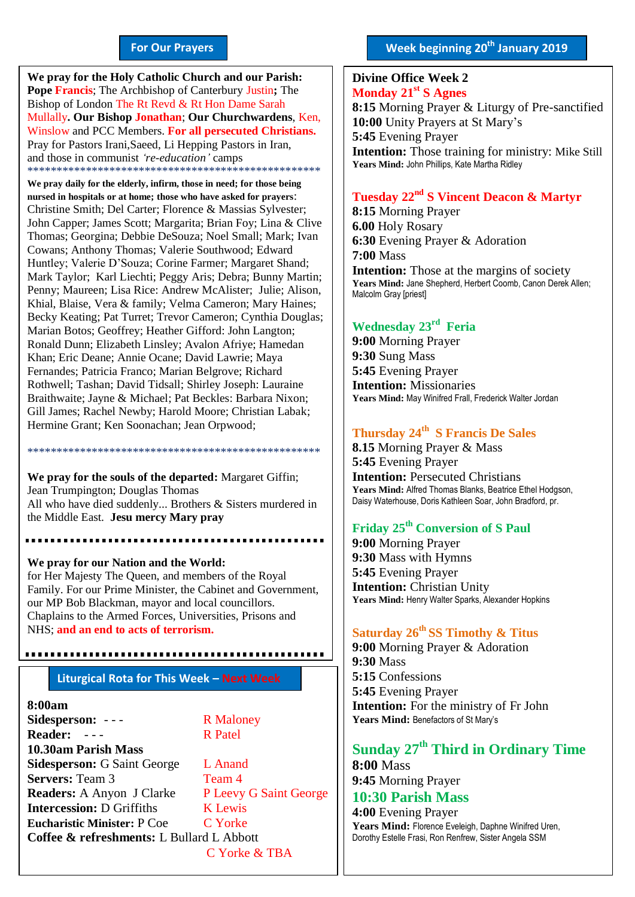#### **For Our Prayers**

arted Mullally**. Our Bishop Jonathan**; **Our Churchwardens**, Ken, **We pray for the Holy Catholic Church and our Parish: Pope Francis**; The Archbishop of Canterbury Justin**;** The Bishop of London The Rt Revd & Rt Hon Dame Sarah Winslow and PCC Members. **For all persecuted Christians.** Pray for Pastors Irani,Saeed, Li Hepping Pastors in Iran, and those in communist *'re-education'* camps \*\*\*\*\*\*\*\*\*\*\*\*\*\*\*\*\*\*\*\*\*\*\*\*\*\*\*\*\*\*\*\*\*\*\*\*\*\*\*\*\*\*\*\*\*\*\*\*\*\*

**We pray daily for the elderly, infirm, those in need; for those being nursed in hospitals or at home; those who have asked for prayers**: Christine Smith; Del Carter; Florence & Massias Sylvester; John Capper; James Scott; Margarita; Brian Foy; Lina & Clive Thomas; Georgina; Debbie DeSouza; Noel Small; Mark; Ivan Cowans; Anthony Thomas; Valerie Southwood; Edward Huntley; Valerie D'Souza; Corine Farmer; Margaret Shand; Mark Taylor; Karl Liechti; Peggy Aris; Debra; Bunny Martin; Penny; Maureen; Lisa Rice: Andrew McAlister; Julie; Alison, Khial, Blaise, Vera & family; Velma Cameron; Mary Haines; Becky Keating; Pat Turret; Trevor Cameron; Cynthia Douglas; Marian Botos; Geoffrey; Heather Gifford: John Langton; Ronald Dunn; Elizabeth Linsley; Avalon Afriye; Hamedan Khan; Eric Deane; Annie Ocane; David Lawrie; Maya Fernandes; Patricia Franco; Marian Belgrove; Richard Rothwell; Tashan; David Tidsall; Shirley Joseph: Lauraine Braithwaite; Jayne & Michael; Pat Beckles: Barbara Nixon; Gill James; Rachel Newby; Harold Moore; Christian Labak; Hermine Grant; Ken Soonachan; Jean Orpwood;

**We pray for the souls of the departed:** Margaret Giffin; Jean Trumpington; Douglas Thomas All who have died suddenly... Brothers & Sisters murdered in the Middle East. **Jesu mercy Mary pray**

............................

\*\*\*\*\*\*\*\*\*\*\*\*\*\*\*\*\*\*\*\*\*\*\*\*\*\*\*\*\*\*\*\*\*\*\*\*\*\*\*\*\*\*\*\*\*\*\*\*\*\*

**We pray for our Nation and the World:** for Her Majesty The Queen, and members of the Royal Family. For our Prime Minister, the Cabinet and Government, our MP Bob Blackman, mayor and local councillors. Chaplains to the Armed Forces, Universities, Prisons and NHS; **and an end to acts of terrorism.**

# **Liturgical Rota for This Week – Next Week**

#### **8:00am**

**Sidesperson:** - - - R Maloney Reader: --- R Patel **10.30am Parish Mass Sidesperson:** G Saint George L Anand **Servers:** Team 3 Team 4 **Readers:** A Anyon J Clarke P Leevy G Saint George **Intercession:** D Griffiths **K** Lewis **Eucharistic Minister:** P Coe C Yorke **Coffee & refreshments:** L Bullard L Abbott C Yorke & TBA

**Week beginning 20th January 2019**

#### **Divine Office Week 2 Monday 21st S Agnes**

**8:15** Morning Prayer & Liturgy of Pre-sanctified **10:00** Unity Prayers at St Mary's **5:45** Evening Prayer **Intention:** Those training for ministry: Mike Still **Years Mind:** John Phillips, Kate Martha Ridley

## **Tuesday 22nd S Vincent Deacon & Martyr**

**8:15** Morning Prayer **6.00** Holy Rosary **6:30** Evening Prayer & Adoration **7:00** Mass **Intention:** Those at the margins of society Years Mind: Jane Shepherd, Herbert Coomb, Canon Derek Allen; Malcolm Gray [priest]

# **Wednesday 23rd Feria**

**9:00** Morning Prayer **9:30** Sung Mass **5:45** Evening Prayer **Intention:** Missionaries **Years Mind:** May Winifred Frall, Frederick Walter Jordan

#### **Thursday 24th S Francis De Sales**

**8.15** Morning Prayer & Mass **5:45** Evening Prayer **Intention:** Persecuted Christians **Years Mind:** Alfred Thomas Blanks, Beatrice Ethel Hodgson, Daisy Waterhouse, Doris Kathleen Soar, John Bradford, pr.

## **Friday 25th Conversion of S Paul**

**9:00** Morning Prayer **9:30** Mass with Hymns **5:45** Evening Prayer **Intention:** Christian Unity **Years Mind:** Henry Walter Sparks, Alexander Hopkins

## **Saturday 26th SS Timothy & Titus**

**9:00** Morning Prayer & Adoration **9:30** Mass **5:15** Confessions **5:45** Evening Prayer **Intention:** For the ministry of Fr John Years Mind: Benefactors of St Mary's

# **Sunday 27 th Third in Ordinary Time**

**8:00** Mass **9:45** Morning Prayer

# **10:30 Parish Mass**

**4:00** Evening Prayer **Years Mind:** Florence Eveleigh, Daphne Winifred Uren, Dorothy Estelle Frasi, Ron Renfrew, Sister Angela SSM